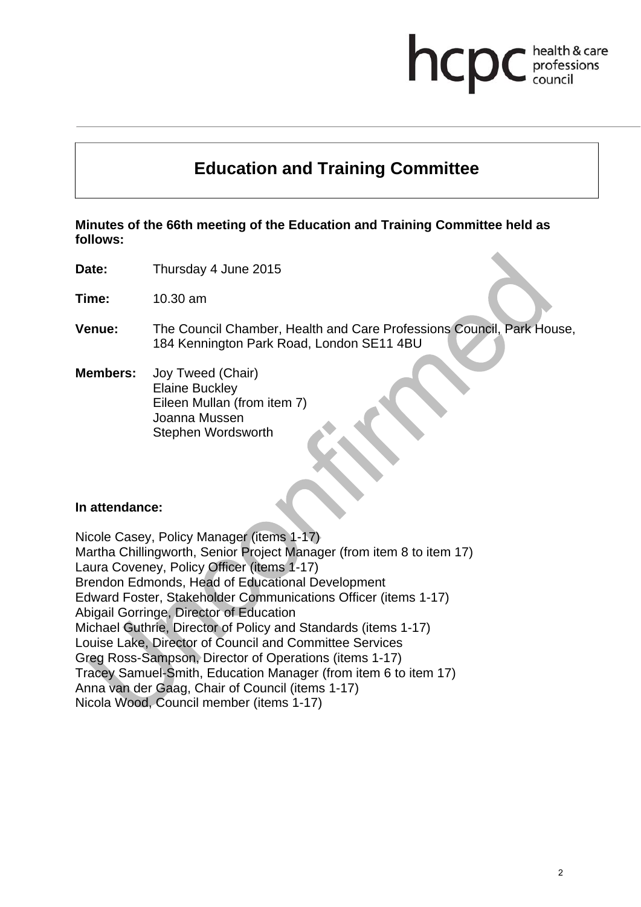# hcp health & care professions

# **Education and Training Committee**

**Minutes of the 66th meeting of the Education and Training Committee held as follows:** 

**Date:** Thursday 4 June 2015

**Time:** 10.30 am

- **Venue:** The Council Chamber, Health and Care Professions Council, Park House, 184 Kennington Park Road, London SE11 4BU
- **Members:** Joy Tweed (Chair) Elaine Buckley Eileen Mullan (from item 7) Joanna Mussen Stephen Wordsworth

#### **In attendance:**

Nicole Casey, Policy Manager (items 1-17) Martha Chillingworth, Senior Project Manager (from item 8 to item 17) Laura Coveney, Policy Officer (items 1-17) Brendon Edmonds, Head of Educational Development Edward Foster, Stakeholder Communications Officer (items 1-17) Abigail Gorringe, Director of Education Michael Guthrie, Director of Policy and Standards (items 1-17) Louise Lake, Director of Council and Committee Services Greg Ross-Sampson, Director of Operations (items 1-17) Tracey Samuel-Smith, Education Manager (from item 6 to item 17) Anna van der Gaag, Chair of Council (items 1-17) Nicola Wood, Council member (items 1-17)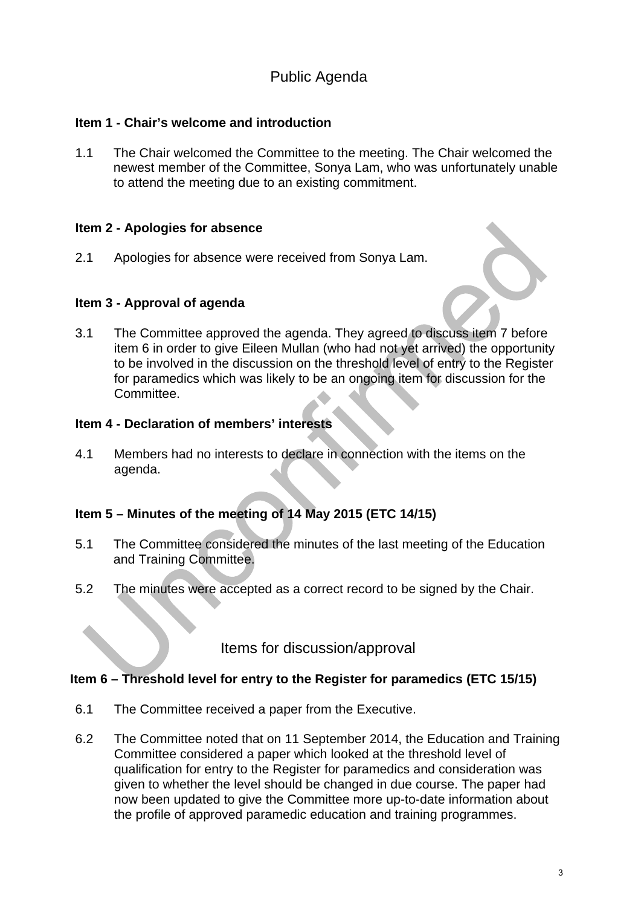# Public Agenda

#### **Item 1 - Chair's welcome and introduction**

1.1 The Chair welcomed the Committee to the meeting. The Chair welcomed the newest member of the Committee, Sonya Lam, who was unfortunately unable to attend the meeting due to an existing commitment.

#### **Item 2 - Apologies for absence**

2.1 Apologies for absence were received from Sonya Lam.

#### **Item 3 - Approval of agenda**



3.1 The Committee approved the agenda. They agreed to discuss item 7 before item 6 in order to give Eileen Mullan (who had not yet arrived) the opportunity to be involved in the discussion on the threshold level of entry to the Register for paramedics which was likely to be an ongoing item for discussion for the Committee.

#### **Item 4 - Declaration of members' interests**

4.1 Members had no interests to declare in connection with the items on the agenda.

#### **Item 5 – Minutes of the meeting of 14 May 2015 (ETC 14/15)**

- 5.1 The Committee considered the minutes of the last meeting of the Education and Training Committee.
- 5.2 The minutes were accepted as a correct record to be signed by the Chair.

Items for discussion/approval

#### **Item 6 – Threshold level for entry to the Register for paramedics (ETC 15/15)**

- 6.1 The Committee received a paper from the Executive.
- 6.2 The Committee noted that on 11 September 2014, the Education and Training Committee considered a paper which looked at the threshold level of qualification for entry to the Register for paramedics and consideration was given to whether the level should be changed in due course. The paper had now been updated to give the Committee more up-to-date information about the profile of approved paramedic education and training programmes.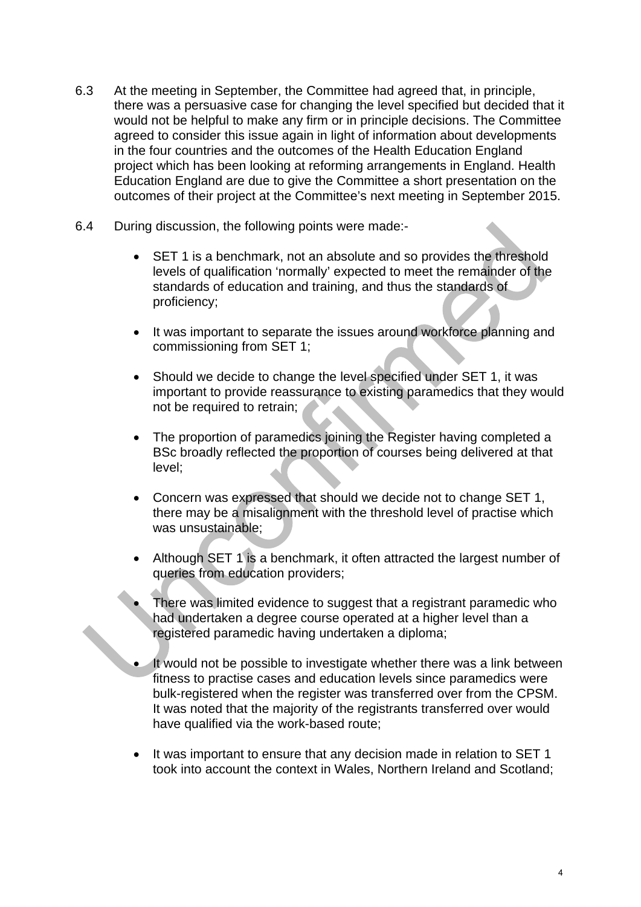- 6.3 At the meeting in September, the Committee had agreed that, in principle, there was a persuasive case for changing the level specified but decided that it would not be helpful to make any firm or in principle decisions. The Committee agreed to consider this issue again in light of information about developments in the four countries and the outcomes of the Health Education England project which has been looking at reforming arrangements in England. Health Education England are due to give the Committee a short presentation on the outcomes of their project at the Committee's next meeting in September 2015.
- 6.4 During discussion, the following points were made:-
	- SET 1 is a benchmark, not an absolute and so provides the threshold levels of qualification 'normally' expected to meet the remainder of the standards of education and training, and thus the standards of proficiency;
	- It was important to separate the issues around workforce planning and commissioning from SET 1;
	- Should we decide to change the level specified under SET 1, it was important to provide reassurance to existing paramedics that they would not be required to retrain;
	- The proportion of paramedics joining the Register having completed a BSc broadly reflected the proportion of courses being delivered at that level;
	- Concern was expressed that should we decide not to change SET 1, there may be a misalignment with the threshold level of practise which was unsustainable;
	- Although SET 1 is a benchmark, it often attracted the largest number of queries from education providers;
	- There was limited evidence to suggest that a registrant paramedic who had undertaken a degree course operated at a higher level than a registered paramedic having undertaken a diploma;
	- It would not be possible to investigate whether there was a link between fitness to practise cases and education levels since paramedics were bulk-registered when the register was transferred over from the CPSM. It was noted that the majority of the registrants transferred over would have qualified via the work-based route;
	- It was important to ensure that any decision made in relation to SET 1 took into account the context in Wales, Northern Ireland and Scotland;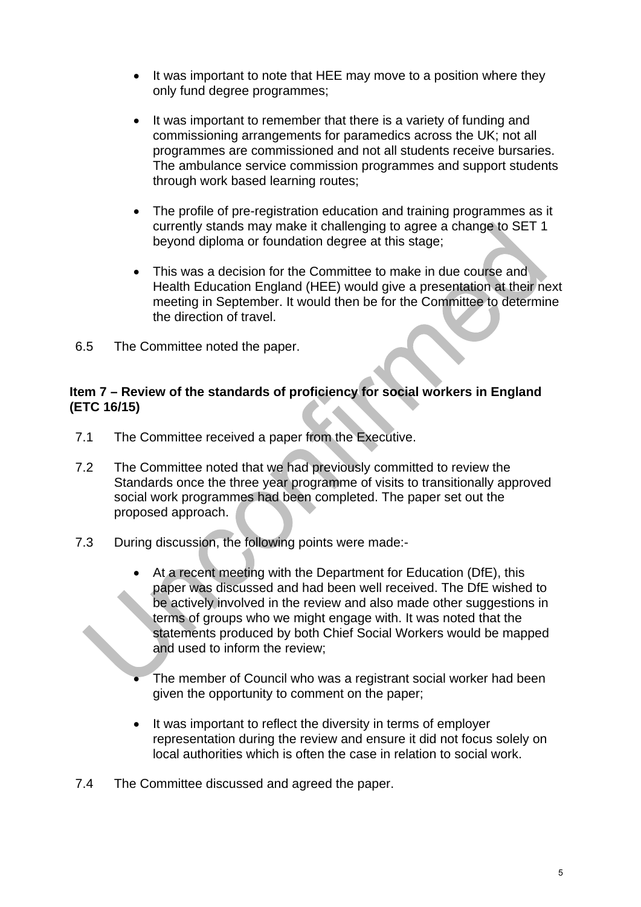- It was important to note that HEE may move to a position where they only fund degree programmes;
- It was important to remember that there is a variety of funding and commissioning arrangements for paramedics across the UK; not all programmes are commissioned and not all students receive bursaries. The ambulance service commission programmes and support students through work based learning routes;
- The profile of pre-registration education and training programmes as it currently stands may make it challenging to agree a change to SET 1 beyond diploma or foundation degree at this stage;
- This was a decision for the Committee to make in due course and Health Education England (HEE) would give a presentation at their next meeting in September. It would then be for the Committee to determine the direction of travel.
- 6.5 The Committee noted the paper.

#### **Item 7 – Review of the standards of proficiency for social workers in England (ETC 16/15)**

- 7.1 The Committee received a paper from the Executive.
- 7.2 The Committee noted that we had previously committed to review the Standards once the three year programme of visits to transitionally approved social work programmes had been completed. The paper set out the proposed approach.
- 7.3 During discussion, the following points were made:-
	- At a recent meeting with the Department for Education (DfE), this paper was discussed and had been well received. The DfE wished to be actively involved in the review and also made other suggestions in terms of groups who we might engage with. It was noted that the statements produced by both Chief Social Workers would be mapped and used to inform the review;
	- The member of Council who was a registrant social worker had been given the opportunity to comment on the paper;
	- It was important to reflect the diversity in terms of employer representation during the review and ensure it did not focus solely on local authorities which is often the case in relation to social work.
- 7.4 The Committee discussed and agreed the paper.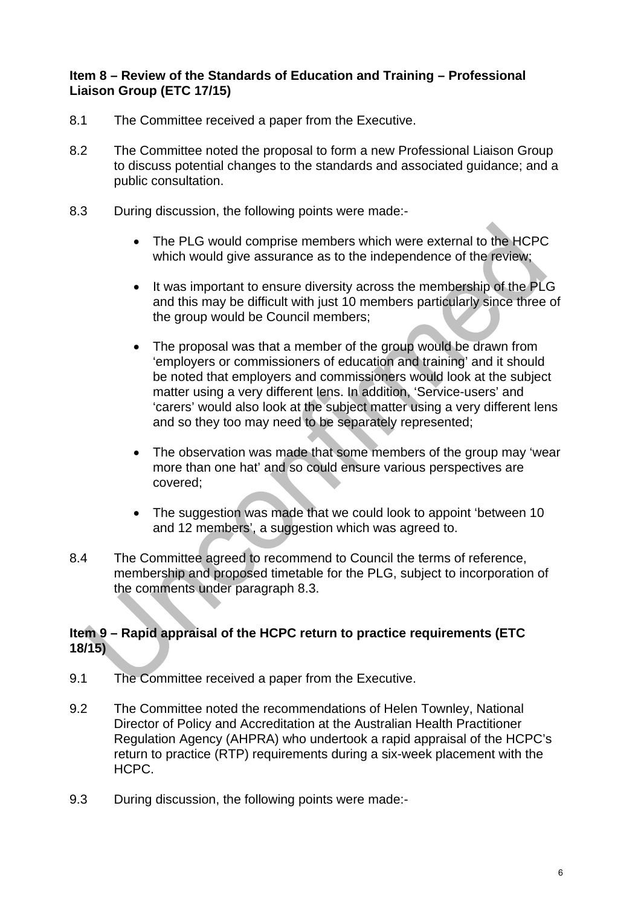#### **Item 8 – Review of the Standards of Education and Training – Professional Liaison Group (ETC 17/15)**

- 8.1 The Committee received a paper from the Executive.
- 8.2 The Committee noted the proposal to form a new Professional Liaison Group to discuss potential changes to the standards and associated guidance; and a public consultation.
- 8.3 During discussion, the following points were made:-
	- The PLG would comprise members which were external to the HCPC which would give assurance as to the independence of the review;
	- It was important to ensure diversity across the membership of the PLG and this may be difficult with just 10 members particularly since three of the group would be Council members;
	- The proposal was that a member of the group would be drawn from 'employers or commissioners of education and training' and it should be noted that employers and commissioners would look at the subject matter using a very different lens. In addition, 'Service-users' and 'carers' would also look at the subject matter using a very different lens and so they too may need to be separately represented;
	- The observation was made that some members of the group may 'wear more than one hat' and so could ensure various perspectives are covered;
	- The suggestion was made that we could look to appoint 'between 10 and 12 members', a suggestion which was agreed to.
- 8.4 The Committee agreed to recommend to Council the terms of reference, membership and proposed timetable for the PLG, subject to incorporation of the comments under paragraph 8.3.

#### **Item 9 – Rapid appraisal of the HCPC return to practice requirements (ETC 18/15)**

- 9.1 The Committee received a paper from the Executive.
- 9.2 The Committee noted the recommendations of Helen Townley, National Director of Policy and Accreditation at the Australian Health Practitioner Regulation Agency (AHPRA) who undertook a rapid appraisal of the HCPC's return to practice (RTP) requirements during a six-week placement with the HCPC.
- 9.3 During discussion, the following points were made:-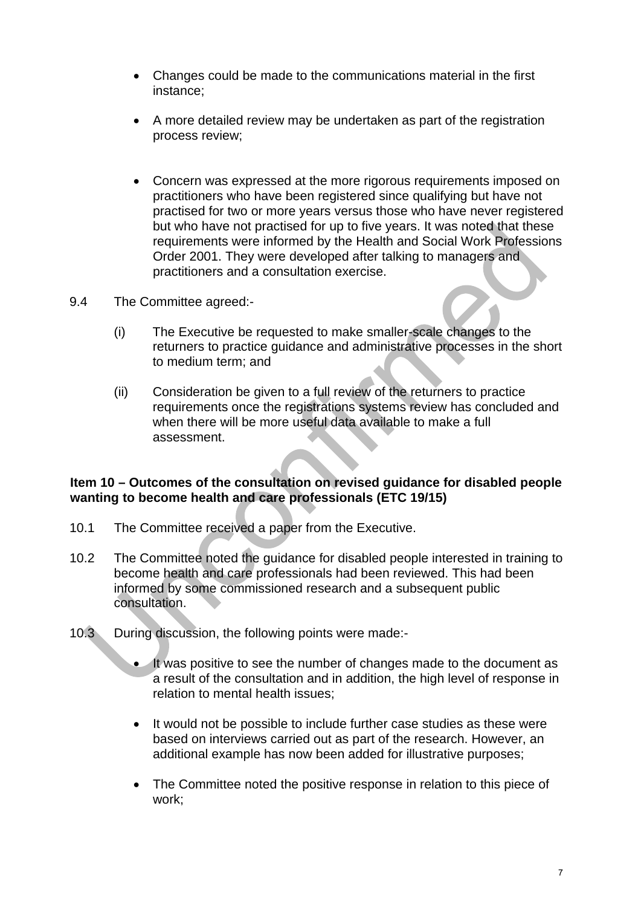- Changes could be made to the communications material in the first instance;
- A more detailed review may be undertaken as part of the registration process review;
- Concern was expressed at the more rigorous requirements imposed on practitioners who have been registered since qualifying but have not practised for two or more years versus those who have never registered but who have not practised for up to five years. It was noted that these requirements were informed by the Health and Social Work Professions Order 2001. They were developed after talking to managers and practitioners and a consultation exercise.
- 9.4 The Committee agreed:-
	- (i) The Executive be requested to make smaller-scale changes to the returners to practice guidance and administrative processes in the short to medium term; and
	- (ii) Consideration be given to a full review of the returners to practice requirements once the registrations systems review has concluded and when there will be more useful data available to make a full assessment.

#### **Item 10 – Outcomes of the consultation on revised guidance for disabled people wanting to become health and care professionals (ETC 19/15)**

- 10.1 The Committee received a paper from the Executive.
- 10.2 The Committee noted the guidance for disabled people interested in training to become health and care professionals had been reviewed. This had been informed by some commissioned research and a subsequent public consultation.
- 10.3 During discussion, the following points were made:-
	- It was positive to see the number of changes made to the document as a result of the consultation and in addition, the high level of response in relation to mental health issues;
	- It would not be possible to include further case studies as these were based on interviews carried out as part of the research. However, an additional example has now been added for illustrative purposes;
	- The Committee noted the positive response in relation to this piece of work;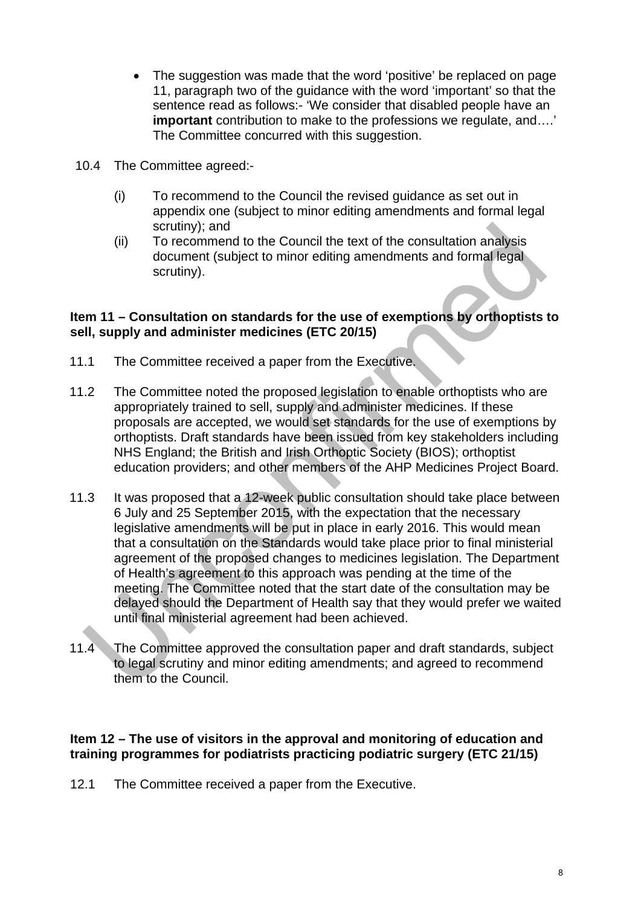- The suggestion was made that the word 'positive' be replaced on page 11, paragraph two of the guidance with the word 'important' so that the sentence read as follows:- 'We consider that disabled people have an **important** contribution to make to the professions we regulate, and….' The Committee concurred with this suggestion.
- 10.4 The Committee agreed:-
	- (i) To recommend to the Council the revised guidance as set out in appendix one (subject to minor editing amendments and formal legal scrutiny); and
	- (ii) To recommend to the Council the text of the consultation analysis document (subject to minor editing amendments and formal legal scrutiny).

#### **Item 11 – Consultation on standards for the use of exemptions by orthoptists to sell, supply and administer medicines (ETC 20/15)**

- 11.1 The Committee received a paper from the Executive.
- 11.2 The Committee noted the proposed legislation to enable orthoptists who are appropriately trained to sell, supply and administer medicines. If these proposals are accepted, we would set standards for the use of exemptions by orthoptists. Draft standards have been issued from key stakeholders including NHS England; the British and Irish Orthoptic Society (BIOS); orthoptist education providers; and other members of the AHP Medicines Project Board.
- 11.3 It was proposed that a 12-week public consultation should take place between 6 July and 25 September 2015, with the expectation that the necessary legislative amendments will be put in place in early 2016. This would mean that a consultation on the Standards would take place prior to final ministerial agreement of the proposed changes to medicines legislation. The Department of Health's agreement to this approach was pending at the time of the meeting. The Committee noted that the start date of the consultation may be delayed should the Department of Health say that they would prefer we waited until final ministerial agreement had been achieved.
- 11.4 The Committee approved the consultation paper and draft standards, subject to legal scrutiny and minor editing amendments; and agreed to recommend them to the Council.

#### **Item 12 – The use of visitors in the approval and monitoring of education and training programmes for podiatrists practicing podiatric surgery (ETC 21/15)**

12.1 The Committee received a paper from the Executive.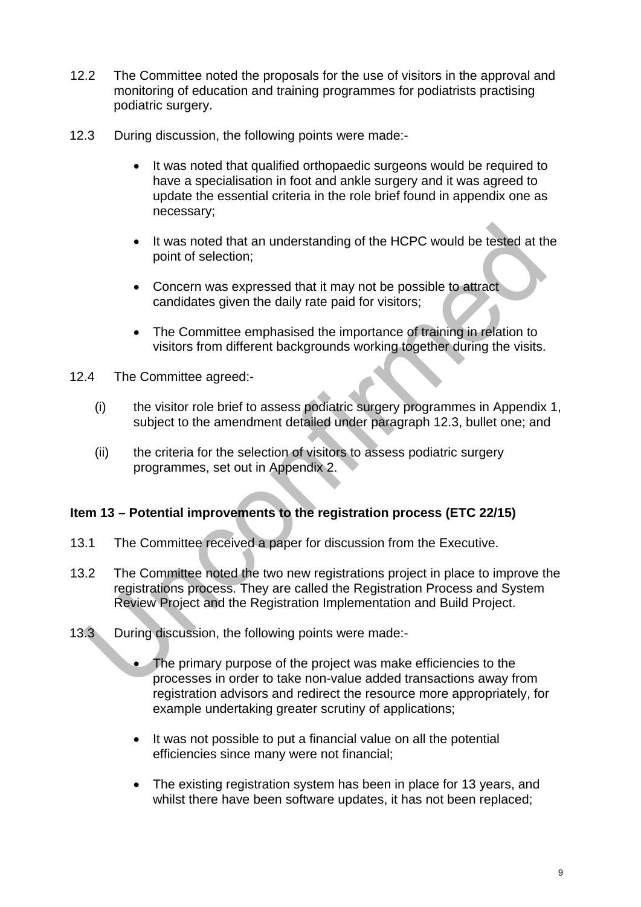- 12.2 The Committee noted the proposals for the use of visitors in the approval and monitoring of education and training programmes for podiatrists practising podiatric surgery.
- 12.3 During discussion, the following points were made:-
	- It was noted that qualified orthopaedic surgeons would be required to have a specialisation in foot and ankle surgery and it was agreed to update the essential criteria in the role brief found in appendix one as necessary;
	- It was noted that an understanding of the HCPC would be tested at the point of selection;
	- Concern was expressed that it may not be possible to attract candidates given the daily rate paid for visitors;
	- The Committee emphasised the importance of training in relation to visitors from different backgrounds working together during the visits.
- 12.4 The Committee agreed:-
	- (i) the visitor role brief to assess podiatric surgery programmes in Appendix 1, subject to the amendment detailed under paragraph 12.3, bullet one; and
	- (ii) the criteria for the selection of visitors to assess podiatric surgery programmes, set out in Appendix 2.

#### **Item 13 – Potential improvements to the registration process (ETC 22/15)**

- 13.1 The Committee received a paper for discussion from the Executive.
- 13.2 The Committee noted the two new registrations project in place to improve the registrations process. They are called the Registration Process and System Review Project and the Registration Implementation and Build Project.
- 13.3 During discussion, the following points were made:-
	- The primary purpose of the project was make efficiencies to the processes in order to take non-value added transactions away from registration advisors and redirect the resource more appropriately, for example undertaking greater scrutiny of applications;
	- It was not possible to put a financial value on all the potential efficiencies since many were not financial;
	- The existing registration system has been in place for 13 years, and whilst there have been software updates, it has not been replaced;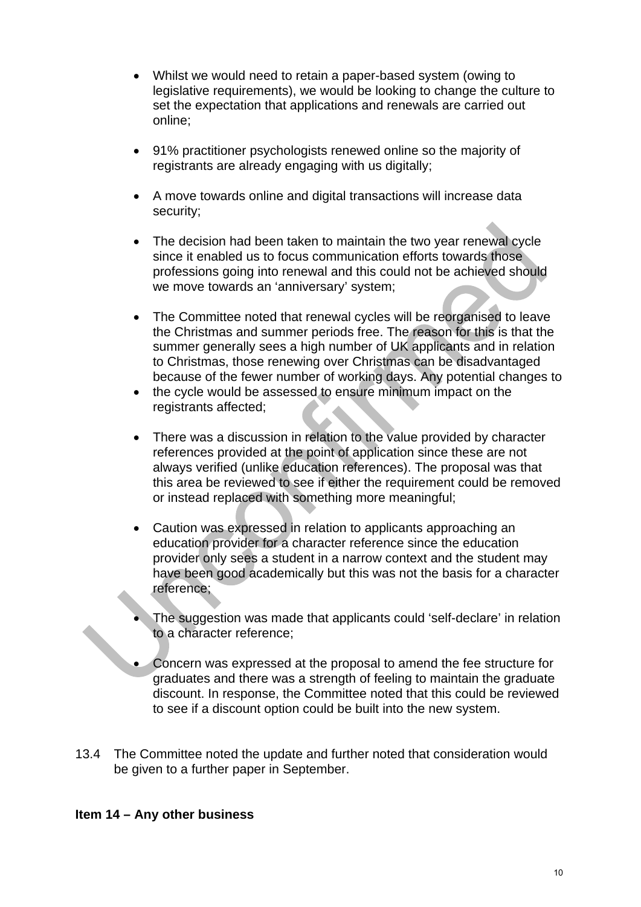- Whilst we would need to retain a paper-based system (owing to legislative requirements), we would be looking to change the culture to set the expectation that applications and renewals are carried out online;
- 91% practitioner psychologists renewed online so the majority of registrants are already engaging with us digitally;
- A move towards online and digital transactions will increase data security;
- The decision had been taken to maintain the two year renewal cycle since it enabled us to focus communication efforts towards those professions going into renewal and this could not be achieved should we move towards an 'anniversary' system;
- The Committee noted that renewal cycles will be reorganised to leave the Christmas and summer periods free. The reason for this is that the summer generally sees a high number of UK applicants and in relation to Christmas, those renewing over Christmas can be disadvantaged because of the fewer number of working days. Any potential changes to
- the cycle would be assessed to ensure minimum impact on the registrants affected;
- There was a discussion in relation to the value provided by character references provided at the point of application since these are not always verified (unlike education references). The proposal was that this area be reviewed to see if either the requirement could be removed or instead replaced with something more meaningful;
- Caution was expressed in relation to applicants approaching an education provider for a character reference since the education provider only sees a student in a narrow context and the student may have been good academically but this was not the basis for a character reference;
- The suggestion was made that applicants could 'self-declare' in relation to a character reference;
- Concern was expressed at the proposal to amend the fee structure for graduates and there was a strength of feeling to maintain the graduate discount. In response, the Committee noted that this could be reviewed to see if a discount option could be built into the new system.
- 13.4 The Committee noted the update and further noted that consideration would be given to a further paper in September.

#### **Item 14 – Any other business**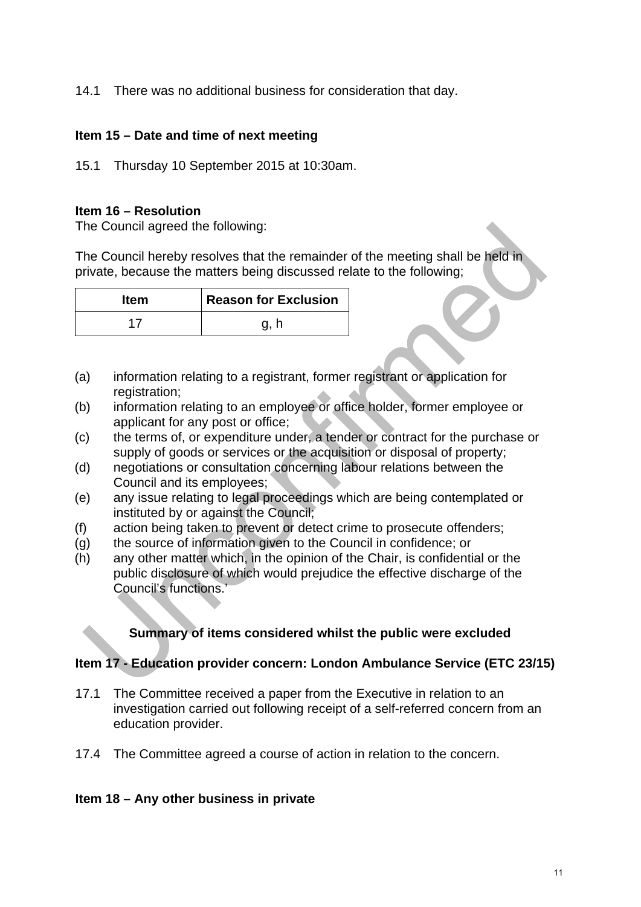14.1 There was no additional business for consideration that day.

### **Item 15 – Date and time of next meeting**

15.1 Thursday 10 September 2015 at 10:30am.

#### **Item 16 – Resolution**

The Council agreed the following:

The Council hereby resolves that the remainder of the meeting shall be held in private, because the matters being discussed relate to the following;

| <b>Item</b> | Reason for Exclusion |
|-------------|----------------------|
|             | g, h                 |

- (a) information relating to a registrant, former registrant or application for registration;
- (b) information relating to an employee or office holder, former employee or applicant for any post or office;
- (c) the terms of, or expenditure under, a tender or contract for the purchase or supply of goods or services or the acquisition or disposal of property;
- (d) negotiations or consultation concerning labour relations between the Council and its employees;
- (e) any issue relating to legal proceedings which are being contemplated or instituted by or against the Council;
- (f) action being taken to prevent or detect crime to prosecute offenders;
- (g) the source of information given to the Council in confidence; or
- (h) any other matter which, in the opinion of the Chair, is confidential or the public disclosure of which would prejudice the effective discharge of the Council's functions.'

## **Summary of items considered whilst the public were excluded**

## **Item 17 - Education provider concern: London Ambulance Service (ETC 23/15)**

- 17.1 The Committee received a paper from the Executive in relation to an investigation carried out following receipt of a self-referred concern from an education provider.
- 17.4 The Committee agreed a course of action in relation to the concern.

#### **Item 18 – Any other business in private**